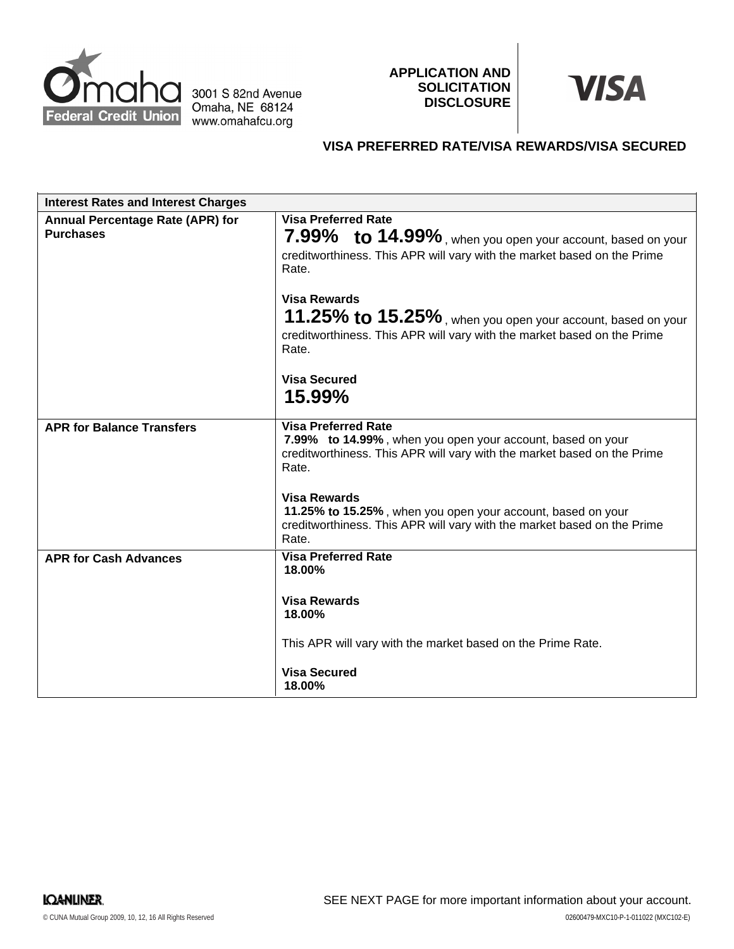

3001 S 82nd Avenue Omaha, NE 68124 www.omahafcu.org

**APPLICATION AND SOLICITATION DISCLOSURE**



# **VISA PREFERRED RATE/VISA REWARDS/VISA SECURED**

| <b>Interest Rates and Interest Charges</b>           |                                                                                                                                                                                                     |
|------------------------------------------------------|-----------------------------------------------------------------------------------------------------------------------------------------------------------------------------------------------------|
| Annual Percentage Rate (APR) for<br><b>Purchases</b> | <b>Visa Preferred Rate</b><br>7.99% to 14.99%, when you open your account, based on your<br>creditworthiness. This APR will vary with the market based on the Prime<br>Rate.<br><b>Visa Rewards</b> |
|                                                      | 11.25% to 15.25%, when you open your account, based on your<br>creditworthiness. This APR will vary with the market based on the Prime<br>Rate.                                                     |
|                                                      | <b>Visa Secured</b><br>15.99%                                                                                                                                                                       |
| <b>APR for Balance Transfers</b>                     | <b>Visa Preferred Rate</b><br>7.99% to 14.99%, when you open your account, based on your<br>creditworthiness. This APR will vary with the market based on the Prime<br>Rate.                        |
|                                                      | <b>Visa Rewards</b><br>11.25% to 15.25%, when you open your account, based on your<br>creditworthiness. This APR will vary with the market based on the Prime<br>Rate.                              |
| <b>APR for Cash Advances</b>                         | <b>Visa Preferred Rate</b><br>18.00%                                                                                                                                                                |
|                                                      | <b>Visa Rewards</b><br>18.00%                                                                                                                                                                       |
|                                                      | This APR will vary with the market based on the Prime Rate.                                                                                                                                         |
|                                                      | <b>Visa Secured</b><br>18.00%                                                                                                                                                                       |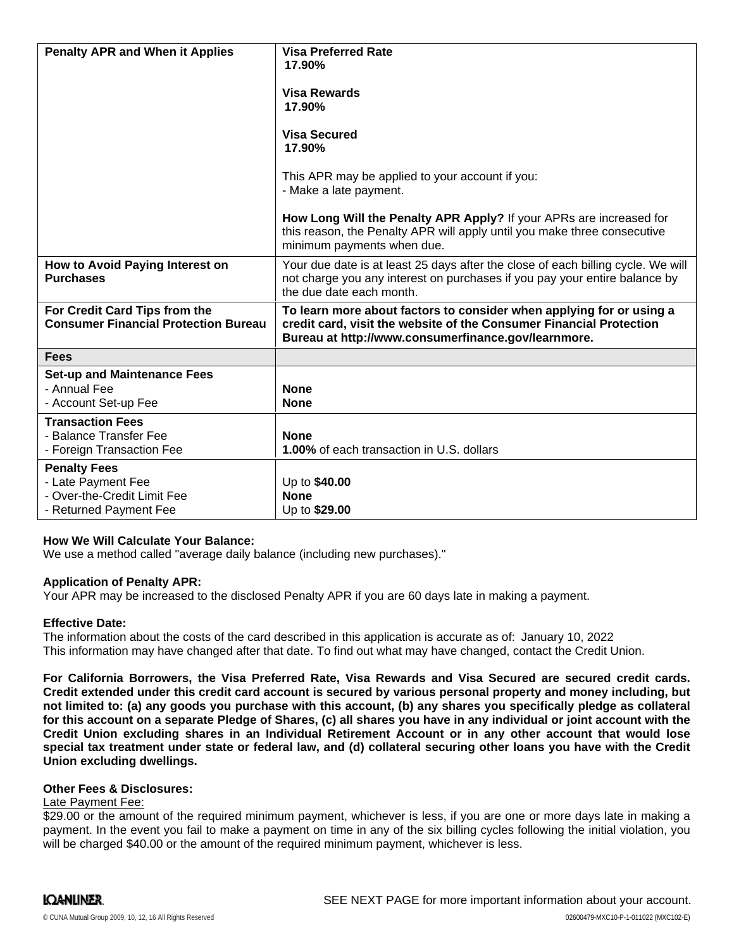| <b>Penalty APR and When it Applies</b>                                                             | <b>Visa Preferred Rate</b><br>17.90%<br><b>Visa Rewards</b><br>17.90%<br><b>Visa Secured</b><br>17.90%<br>This APR may be applied to your account if you:<br>- Make a late payment.<br>How Long Will the Penalty APR Apply? If your APRs are increased for<br>this reason, the Penalty APR will apply until you make three consecutive<br>minimum payments when due. |
|----------------------------------------------------------------------------------------------------|----------------------------------------------------------------------------------------------------------------------------------------------------------------------------------------------------------------------------------------------------------------------------------------------------------------------------------------------------------------------|
| How to Avoid Paying Interest on<br><b>Purchases</b>                                                | Your due date is at least 25 days after the close of each billing cycle. We will<br>not charge you any interest on purchases if you pay your entire balance by<br>the due date each month.                                                                                                                                                                           |
| For Credit Card Tips from the<br><b>Consumer Financial Protection Bureau</b>                       | To learn more about factors to consider when applying for or using a<br>credit card, visit the website of the Consumer Financial Protection<br>Bureau at http://www.consumerfinance.gov/learnmore.                                                                                                                                                                   |
| <b>Fees</b>                                                                                        |                                                                                                                                                                                                                                                                                                                                                                      |
| <b>Set-up and Maintenance Fees</b><br>- Annual Fee<br>- Account Set-up Fee                         | <b>None</b><br><b>None</b>                                                                                                                                                                                                                                                                                                                                           |
| <b>Transaction Fees</b><br>- Balance Transfer Fee<br>- Foreign Transaction Fee                     | <b>None</b><br>1.00% of each transaction in U.S. dollars                                                                                                                                                                                                                                                                                                             |
| <b>Penalty Fees</b><br>- Late Payment Fee<br>- Over-the-Credit Limit Fee<br>- Returned Payment Fee | Up to \$40.00<br><b>None</b><br>Up to \$29.00                                                                                                                                                                                                                                                                                                                        |

## **How We Will Calculate Your Balance:**

We use a method called "average daily balance (including new purchases)."

#### **Application of Penalty APR:**

Your APR may be increased to the disclosed Penalty APR if you are 60 days late in making a payment.

#### **Effective Date:**

The information about the costs of the card described in this application is accurate as of: January 10, 2022This information may have changed after that date. To find out what may have changed, contact the Credit Union.

**For California Borrowers, the Visa Preferred Rate, Visa Rewards and Visa Secured are secured credit cards.** Credit extended under this credit card account is secured by various personal property and money including, but not limited to: (a) any goods you purchase with this account, (b) any shares you specifically pledge as collateral for this account on a separate Pledge of Shares, (c) all shares you have in any individual or joint account with the **Credit Union excluding shares in an Individual Retirement Account or in any other account that would lose** special tax treatment under state or federal law, and (d) collateral securing other loans you have with the Credit **Union excluding dwellings.**

#### **Other Fees & Disclosures:**

#### Late Payment Fee:

\$29.00 or the amount of the required minimum payment, whichever is less, if you are one or more days late in making a payment. In the event you fail to make a payment on time in any of the six billing cycles following the initial violation, you will be charged \$40.00 or the amount of the required minimum payment, whichever is less.